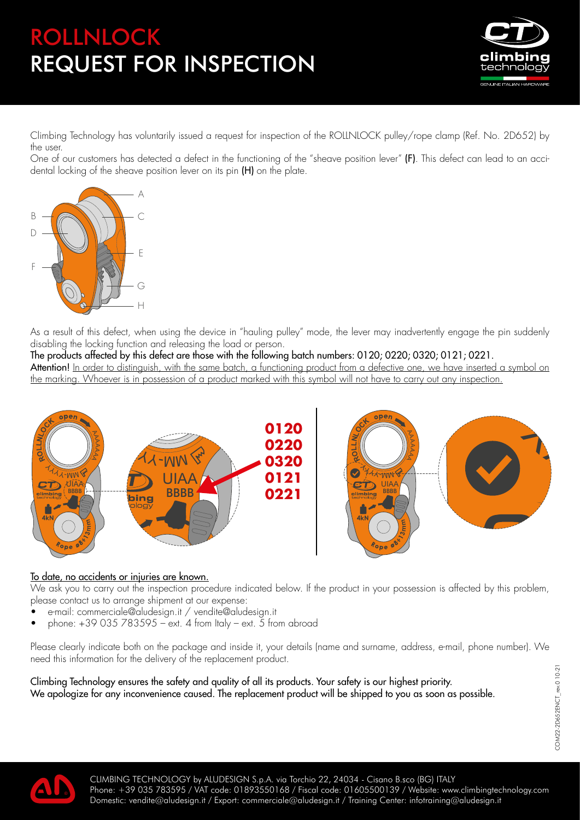## ROLLNLOCK REQUEST FOR INSPECTION



Climbing Technology has voluntarily issued a request for inspection of the ROLLNLOCK pulley/rope clamp (Ref. No. 2D652) by the user.

One of our customers has detected a defect in the functioning of the "sheave position lever" (F). This defect can lead to an accidental locking of the sheave position lever on its pin (H) on the plate. **NLOCK**



As a result of this defect, when using the device in "hauling pulley" mode, the lever may inadvertently engage the pin suddenly **L**disabling the locking function and releasing the load or person.

The products affected by this defect are those with the following batch numbers: 0120; 0220; 0320; 0121; 0221. **Attention!** <u>In order to distinguish, with the same batch, a functioning product from a defective one, we have inserted a symbol on</u> the marking. Whoever is in possession of a product marked with this symbol will not have to carry out any inspection. In the ferrog of this defect are those with the following batch numbers: 0120; 0220; 0320; 0121; 0221.<br><u>It distinguish, with the same batch, a functioning product from a defective one, we have inserted a syrever is in poss</u>





## To date, no accidents or injuries are known.

We ask you to carry out the inspection procedure indicated below. If the product in your possession is affected by this problem, please contact us to arrange shipment at our expense:

- e-mail: commerciale@aludesign.it / vendite@aludesign.it
- phone: +39 035 783595 ext. 4 from Italy ext. 5 from abroad

Please clearly indicate both on the package and inside it, your details (name and surname, address, e-mail, phone number). We need this information for the delivery of the replacement product.

Climbing Technology ensures the safety and quality of all its products. Your safety is our highest priority. We apologize for any inconvenience caused. The replacement product will be shipped to you as soon as possible.